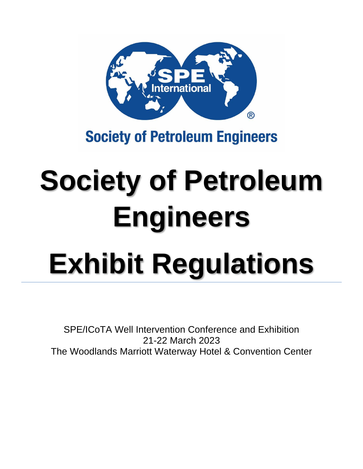

# **Society of Petroleum Engineers**

# **Society of Petroleum Engineers Exhibit Regulations**

SPE/ICoTA Well Intervention Conference and Exhibition 21-22 March 2023 The Woodlands Marriott Waterway Hotel & Convention Center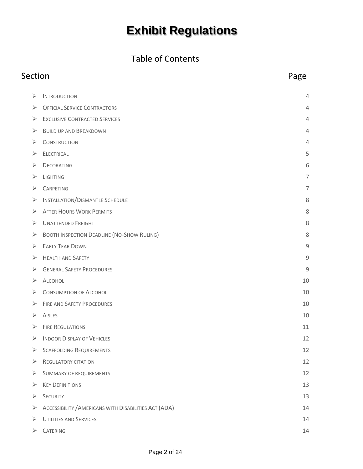#### Table of Contents

## Section **Page**  $\triangleright$  I[NTRODUCTION](#page-3-0) 4 ➢ OFFICIAL SERVICE C[ONTRACTORS](#page-3-1) 4 ➢ EXCLUSIVE C[ONTRACTED](#page-3-2) SERVICES 4  $\triangleright$  B[UILD UP AND](#page-3-3) BREAKDOWN 4  $\triangleright$  C[ONSTRUCTION](#page-3-4) 4  $\geq$  E[LECTRICAL](#page-4-0) 5  $\triangleright$  D[ECORATING](#page-5-0) 6  $\triangleright$  Lighting 7  $\triangleright$  C[ARPETING](#page-6-1) 7 ➢ I[NSTALLATION](#page-7-0)/DISMANTLE SCHEDULE 8 ➢ AFTER HOURS WORK P[ERMITS](#page-7-1) 8 ➢ U[NATTENDED](#page-7-2) FREIGHT 8 ➢ BOOTH I[NSPECTION](#page-7-3) DEADLINE (NO-SHOW RULING) 8 ➢ E[ARLY](#page-8-0) TEAR DOWN 9 ➢ H[EALTH AND](#page-8-1) SAFETY 9 ➢ GENERAL SAFETY P[ROCEDURES](#page-8-2) 9  $\triangleright$  A[LCOHOL](#page-9-0) 10  $\triangleright$  C[ONSUMPTION OF](#page-9-1) ALCOHOL 10 ➢ FIRE AND SAFETY P[ROCEDURES](#page-9-2) 10  $\triangleright$  A[ISLES](#page-9-3) 10  $\triangleright$  FIRE R[EGULATIONS](#page-10-0) 11 ➢ INDOOR D[ISPLAY OF](#page-11-0) VEHICLES 12 ➢ SCAFFOLDING R[EQUIREMENTS](#page-11-1) 12 ➢ R[EGULATORY CITATION](#page-11-2) 12 ➢ S[UMMARY OF REQUIREMENTS](#page-11-3) 12  $\triangleright$  Key Definitions 13  $\triangleright$  S[ECURITY](#page-12-1) 13 ➢ ACCESSIBILITY /A[MERICANS WITH](#page-13-0) DISABILITIES ACT (ADA) 14  $\triangleright$  U[TILITIES AND](#page-13-1) SERVICES 14  $\triangleright$  Catering 14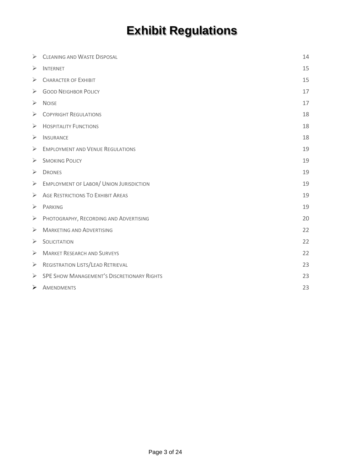| ➤ | <b>CLEANING AND WASTE DISPOSAL</b>                | 14 |
|---|---------------------------------------------------|----|
| ➤ | <b>INTERNET</b>                                   | 15 |
| ➤ | <b>CHARACTER OF EXHIBIT</b>                       | 15 |
| ➤ | <b>GOOD NEIGHBOR POLICY</b>                       | 17 |
| ➤ | <b>NOISE</b>                                      | 17 |
| ➤ | <b>COPYRIGHT REGULATIONS</b>                      | 18 |
| ➤ | <b>HOSPITALITY FUNCTIONS</b>                      | 18 |
| ➤ | <b>INSURANCE</b>                                  | 18 |
| ➤ | <b>EMPLOYMENT AND VENUE REGULATIONS</b>           | 19 |
| ➤ | <b>SMOKING POLICY</b>                             | 19 |
| ➤ | <b>DRONES</b>                                     | 19 |
| ➤ | <b>EMPLOYMENT OF LABOR/ UNION JURISDICTION</b>    | 19 |
| ➤ | <b>AGE RESTRICTIONS TO EXHIBIT AREAS</b>          | 19 |
| ➤ | <b>PARKING</b>                                    | 19 |
| ➤ | PHOTOGRAPHY, RECORDING AND ADVERTISING            | 20 |
| ➤ | <b>MARKETING AND ADVERTISING</b>                  | 22 |
| ➤ | <b>SOLICITATION</b>                               | 22 |
| ➤ | <b>MARKET RESEARCH AND SURVEYS</b>                | 22 |
| ➤ | REGISTRATION LISTS/LEAD RETRIEVAL                 | 23 |
| ➤ | <b>SPE SHOW MANAGEMENT'S DISCRETIONARY RIGHTS</b> | 23 |
| ≻ | AMENDMENTS                                        | 23 |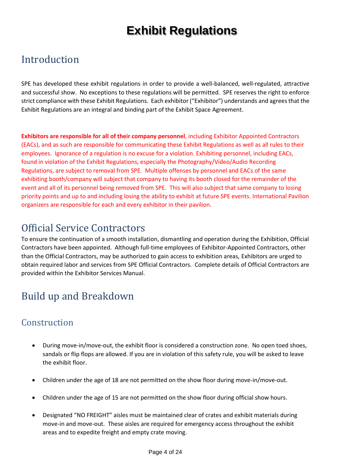## <span id="page-3-0"></span>Introduction

SPE has developed these exhibit regulations in order to provide a well-balanced, well-regulated, attractive and successful show. No exceptions to these regulations will be permitted. SPE reserves the right to enforce strict compliance with these Exhibit Regulations. Each exhibitor ("Exhibitor") understands and agrees that the Exhibit Regulations are an integral and binding part of the Exhibit Space Agreement.

**Exhibitors are responsible for all of their company personnel**, including Exhibitor Appointed Contractors (EACs), and as such are responsible for communicating these Exhibit Regulations as well as all rules to their employees. Ignorance of a regulation is no excuse for a violation. Exhibiting personnel, including EACs, found in violation of the Exhibit Regulations, especially the Photography/Video/Audio Recording Regulations, are subject to removal from SPE. Multiple offenses by personnel and EACs of the same exhibiting booth/company will subject that company to having its booth closed for the remainder of the event and all of its personnel being removed from SPE. This will also subject that same company to losing priority points and up to and including losing the ability to exhibit at future SPE events. International Pavilion organizers are responsible for each and every exhibitor in their pavilion.

## <span id="page-3-1"></span>Official Service Contractors

To ensure the continuation of a smooth installation, dismantling and operation during the Exhibition, Official Contractors have been appointed. Although full-time employees of Exhibitor-Appointed Contractors, other than the Official Contractors, may be authorized to gain access to exhibition areas, Exhibitors are urged to obtain required labor and services from SPE Official Contractors. Complete details of Official Contractors are provided within the Exhibitor Services Manual.

## <span id="page-3-3"></span><span id="page-3-2"></span>Build up and Breakdown

#### <span id="page-3-4"></span>**Construction**

- During move-in/move-out, the exhibit floor is considered a construction zone. No open toed shoes, sandals or flip flops are allowed. If you are in violation of this safety rule, you will be asked to leave the exhibit floor.
- Children under the age of 18 are not permitted on the show floor during move-in/move-out.
- Children under the age of 15 are not permitted on the show floor during official show hours.
- Designated "NO FREIGHT" aisles must be maintained clear of crates and exhibit materials during move-in and move-out. These aisles are required for emergency access throughout the exhibit areas and to expedite freight and empty crate moving.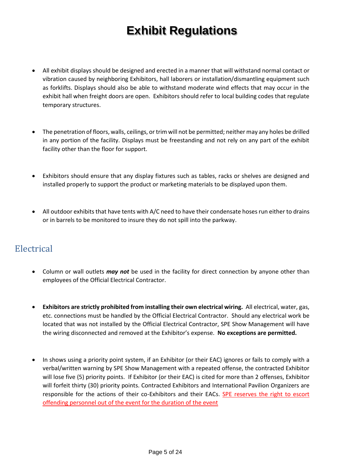- All exhibit displays should be designed and erected in a manner that will withstand normal contact or vibration caused by neighboring Exhibitors, hall laborers or installation/dismantling equipment such as forklifts. Displays should also be able to withstand moderate wind effects that may occur in the exhibit hall when freight doors are open. Exhibitors should refer to local building codes that regulate temporary structures.
- The penetration of floors, walls, ceilings, or trim will not be permitted; neither may any holes be drilled in any portion of the facility. Displays must be freestanding and not rely on any part of the exhibit facility other than the floor for support.
- Exhibitors should ensure that any display fixtures such as tables, racks or shelves are designed and installed properly to support the product or marketing materials to be displayed upon them.
- All outdoor exhibits that have tents with A/C need to have their condensate hoses run either to drains or in barrels to be monitored to insure they do not spill into the parkway.

#### <span id="page-4-0"></span>Electrical

- Column or wall outlets *may not* be used in the facility for direct connection by anyone other than employees of the Official Electrical Contractor.
- **Exhibitors are strictly prohibited from installing their own electrical wiring.** All electrical, water, gas, etc. connections must be handled by the Official Electrical Contractor. Should any electrical work be located that was not installed by the Official Electrical Contractor, SPE Show Management will have the wiring disconnected and removed at the Exhibitor's expense. **No exceptions are permitted.**
- In shows using a priority point system, if an Exhibitor (or their EAC) ignores or fails to comply with a verbal/written warning by SPE Show Management with a repeated offense, the contracted Exhibitor will lose five (5) priority points. If Exhibitor (or their EAC) is cited for more than 2 offenses, Exhibitor will forfeit thirty (30) priority points. Contracted Exhibitors and International Pavilion Organizers are responsible for the actions of their co-Exhibitors and their EACs. SPE reserves the right to escort offending personnel out of the event for the duration of the event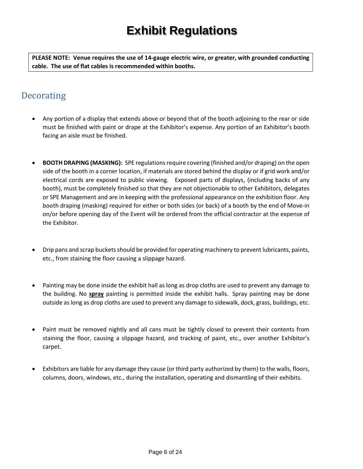**PLEASE NOTE: Venue requires the use of 14-gauge electric wire, or greater, with grounded conducting cable. The use of flat cables is recommended within booths.**

#### <span id="page-5-0"></span>**Decorating**

- Any portion of a display that extends above or beyond that of the booth adjoining to the rear or side must be finished with paint or drape at the Exhibitor's expense. Any portion of an Exhibitor's booth facing an aisle must be finished.
- **BOOTH DRAPING (MASKING):** SPE regulations require covering (finished and/or draping) on the open side of the booth in a corner location, if materials are stored behind the display or if grid work and/or electrical cords are exposed to public viewing. Exposed parts of displays, (including backs of any booth), must be completely finished so that they are not objectionable to other Exhibitors, delegates or SPE Management and are in keeping with the professional appearance on the exhibition floor. Any booth draping (masking) required for either or both sides (or back) of a booth by the end of Move-in on/or before opening day of the Event will be ordered from the official contractor at the expense of the Exhibitor.
- Drip pans and scrap buckets should be provided for operating machinery to prevent lubricants, paints, etc., from staining the floor causing a slippage hazard.
- Painting may be done inside the exhibit hall as long as drop cloths are used to prevent any damage to the building. No **spray** painting is permitted inside the exhibit halls. Spray painting may be done outside as long as drop cloths are used to prevent any damage to sidewalk, dock, grass, buildings, etc.
- Paint must be removed nightly and all cans must be tightly closed to prevent their contents from staining the floor, causing a slippage hazard, and tracking of paint, etc., over another Exhibitor's carpet.
- Exhibitors are liable for any damage they cause (or third party authorized by them) to the walls, floors, columns, doors, windows, etc., during the installation, operating and dismantling of their exhibits.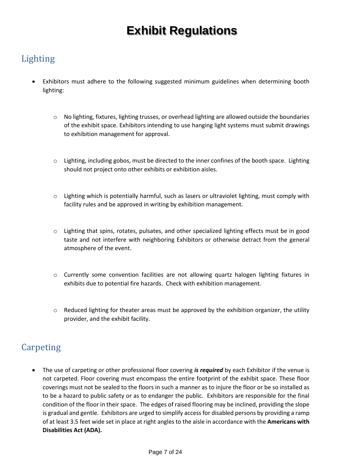#### <span id="page-6-0"></span>Lighting

- Exhibitors must adhere to the following suggested minimum guidelines when determining booth lighting:
	- o No lighting, fixtures, lighting trusses, or overhead lighting are allowed outside the boundaries of the exhibit space. Exhibitors intending to use hanging light systems must submit drawings to exhibition management for approval.
	- $\circ$  Lighting, including gobos, must be directed to the inner confines of the booth space. Lighting should not project onto other exhibits or exhibition aisles.
	- $\circ$  Lighting which is potentially harmful, such as lasers or ultraviolet lighting, must comply with facility rules and be approved in writing by exhibition management.
	- $\circ$  Lighting that spins, rotates, pulsates, and other specialized lighting effects must be in good taste and not interfere with neighboring Exhibitors or otherwise detract from the general atmosphere of the event.
	- o Currently some convention facilities are not allowing quartz halogen lighting fixtures in exhibits due to potential fire hazards. Check with exhibition management.
	- $\circ$  Reduced lighting for theater areas must be approved by the exhibition organizer, the utility provider, and the exhibit facility.

#### <span id="page-6-1"></span>Carpeting

• The use of carpeting or other professional floor covering *is required* by each Exhibitor if the venue is not carpeted. Floor covering must encompass the entire footprint of the exhibit space. These floor coverings must not be sealed to the floors in such a manner as to injure the floor or be so installed as to be a hazard to public safety or as to endanger the public. Exhibitors are responsible for the final condition of the floor in their space. The edges of raised flooring may be inclined, providing the slope is gradual and gentle. Exhibitors are urged to simplify access for disabled persons by providing a ramp of at least 3.5 feet wide set in place at right angles to the aisle in accordance with the **Americans with Disabilities Act (ADA).**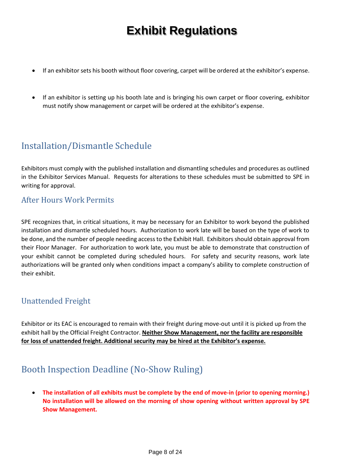- If an exhibitor sets his booth without floor covering, carpet will be ordered at the exhibitor's expense.
- <span id="page-7-0"></span>• If an exhibitor is setting up his booth late and is bringing his own carpet or floor covering, exhibitor must notify show management or carpet will be ordered at the exhibitor's expense.

#### Installation/Dismantle Schedule

Exhibitors must comply with the published installation and dismantling schedules and procedures as outlined in the Exhibitor Services Manual. Requests for alterations to these schedules must be submitted to SPE in writing for approval.

#### <span id="page-7-1"></span>After Hours Work Permits

SPE recognizes that, in critical situations, it may be necessary for an Exhibitor to work beyond the published installation and dismantle scheduled hours. Authorization to work late will be based on the type of work to be done, and the number of people needing access to the Exhibit Hall. Exhibitors should obtain approval from their Floor Manager. For authorization to work late, you must be able to demonstrate that construction of your exhibit cannot be completed during scheduled hours. For safety and security reasons, work late authorizations will be granted only when conditions impact a company's ability to complete construction of their exhibit.

#### <span id="page-7-2"></span>Unattended Freight

Exhibitor or its EAC is encouraged to remain with their freight during move-out until it is picked up from the exhibit hall by the Official Freight Contractor. **Neither Show Management, nor the facility are responsible for loss of unattended freight. Additional security may be hired at the Exhibitor's expense.**

#### <span id="page-7-3"></span>Booth Inspection Deadline (No-Show Ruling)

• **The installation of all exhibits must be complete by the end of move-in (prior to opening morning.) No installation will be allowed on the morning of show opening without written approval by SPE Show Management.**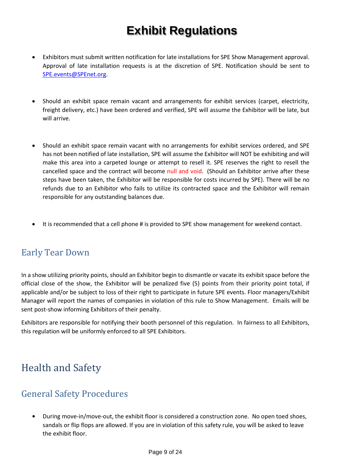- Exhibitors must submit written notification for late installations for SPE Show Management approval. Approval of late installation requests is at the discretion of SPE. Notification should be sent to [SPE.events@SPEnet.org.](mailto:otc.events@otcnet.org)
- Should an exhibit space remain vacant and arrangements for exhibit services (carpet, electricity, freight delivery, etc.) have been ordered and verified, SPE will assume the Exhibitor will be late, but will arrive.
- Should an exhibit space remain vacant with no arrangements for exhibit services ordered, and SPE has not been notified of late installation, SPE will assume the Exhibitor will NOT be exhibiting and will make this area into a carpeted lounge or attempt to resell it. SPE reserves the right to resell the cancelled space and the contract will become null and void. (Should an Exhibitor arrive after these steps have been taken, the Exhibitor will be responsible for costs incurred by SPE). There will be no refunds due to an Exhibitor who fails to utilize its contracted space and the Exhibitor will remain responsible for any outstanding balances due.
- It is recommended that a cell phone # is provided to SPE show management for weekend contact.

#### <span id="page-8-0"></span>Early Tear Down

In a show utilizing priority points, should an Exhibitor begin to dismantle or vacate its exhibit space before the official close of the show, the Exhibitor will be penalized five (5) points from their priority point total, if applicable and/or be subject to loss of their right to participate in future SPE events. Floor managers/Exhibit Manager will report the names of companies in violation of this rule to Show Management. Emails will be sent post-show informing Exhibitors of their penalty.

Exhibitors are responsible for notifying their booth personnel of this regulation. In fairness to all Exhibitors, this regulation will be uniformly enforced to all SPE Exhibitors.

## <span id="page-8-1"></span>Health and Safety

#### <span id="page-8-2"></span>General Safety Procedures

**•** During move-in/move-out, the exhibit floor is considered a construction zone. No open toed shoes, sandals or flip flops are allowed. If you are in violation of this safety rule, you will be asked to leave the exhibit floor.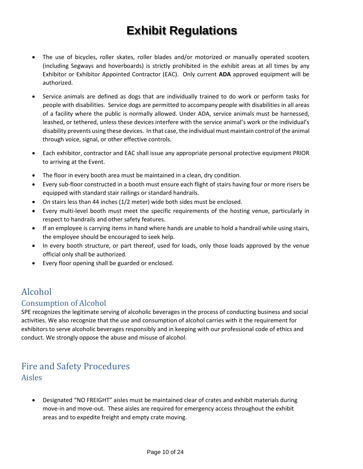- The use of bicycles, roller skates, roller blades and/or motorized or manually operated scooters (including Segways and hoverboards) is strictly prohibited in the exhibit areas at all times by any Exhibitor or Exhibitor Appointed Contractor (EAC). Only current **ADA** approved equipment will be authorized.
- Service animals are defined as dogs that are individually trained to do work or perform tasks for people with disabilities. Service dogs are permitted to accompany people with disabilities in all areas of a facility where the public is normally allowed. Under ADA, service animals must be harnessed, leashed, or tethered, unless these devices interfere with the service animal's work or the individual's disability prevents using these devices. In that case, the individual must maintain control of the animal through voice, signal, or other effective controls.
- Each exhibitor, contractor and EAC shall issue any appropriate personal protective equipment PRIOR to arriving at the Event.
- The floor in every booth area must be maintained in a clean, dry condition.
- Every sub-floor constructed in a booth must ensure each flight of stairs having four or more risers be equipped with standard stair railings or standard handrails.
- On stairs less than 44 inches (1/2 meter) wide both sides must be enclosed.
- Every multi-level booth must meet the specific requirements of the hosting venue, particularly in respect to handrails and other safety features.
- If an employee is carrying items in hand where hands are unable to hold a handrail while using stairs, the employee should be encouraged to seek help.
- In every booth structure, or part thereof, used for loads, only those loads approved by the venue official only shall be authorized.
- Every floor opening shall be guarded or enclosed.

#### <span id="page-9-0"></span>Alcohol

#### <span id="page-9-1"></span>Consumption of Alcohol

SPE recognizes the legitimate serving of alcoholic beverages in the process of conducting business and social activities. We also recognize that the use and consumption of alcohol carries with it the requirement for exhibitors to serve alcoholic beverages responsibly and in keeping with our professional code of ethics and conduct. We strongly oppose the abuse and misuse of alcohol.

#### <span id="page-9-3"></span><span id="page-9-2"></span>Fire and Safety Procedures Aisles

• Designated "NO FREIGHT" aisles must be maintained clear of crates and exhibit materials during move-in and move-out. These aisles are required for emergency access throughout the exhibit areas and to expedite freight and empty crate moving.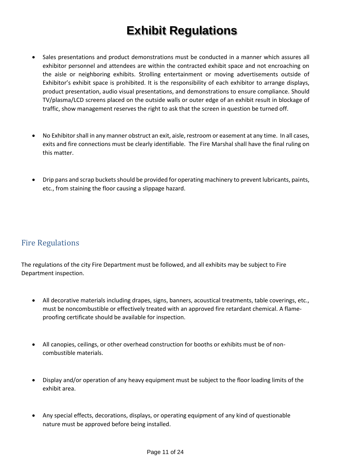- Sales presentations and product demonstrations must be conducted in a manner which assures all exhibitor personnel and attendees are within the contracted exhibit space and not encroaching on the aisle or neighboring exhibits. Strolling entertainment or moving advertisements outside of Exhibitor's exhibit space is prohibited. It is the responsibility of each exhibitor to arrange displays, product presentation, audio visual presentations, and demonstrations to ensure compliance. Should TV/plasma/LCD screens placed on the outside walls or outer edge of an exhibit result in blockage of traffic, show management reserves the right to ask that the screen in question be turned off.
- No Exhibitor shall in any manner obstruct an exit, aisle, restroom or easement at any time. In all cases, exits and fire connections must be clearly identifiable. The Fire Marshal shall have the final ruling on this matter.
- Drip pans and scrap buckets should be provided for operating machinery to prevent lubricants, paints, etc., from staining the floor causing a slippage hazard.

#### <span id="page-10-0"></span>Fire Regulations

The regulations of the city Fire Department must be followed, and all exhibits may be subject to Fire Department inspection.

- All decorative materials including drapes, signs, banners, acoustical treatments, table coverings, etc., must be noncombustible or effectively treated with an approved fire retardant chemical. A flameproofing certificate should be available for inspection.
- All canopies, ceilings, or other overhead construction for booths or exhibits must be of noncombustible materials.
- Display and/or operation of any heavy equipment must be subject to the floor loading limits of the exhibit area.
- Any special effects, decorations, displays, or operating equipment of any kind of questionable nature must be approved before being installed.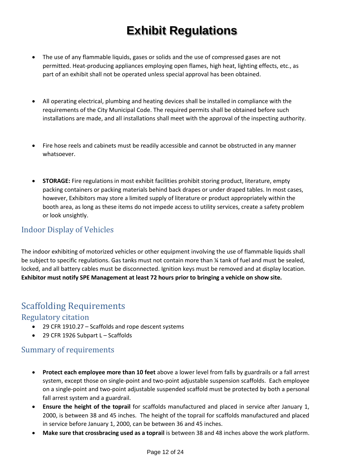- The use of any flammable liquids, gases or solids and the use of compressed gases are not permitted. Heat-producing appliances employing open flames, high heat, lighting effects, etc., as part of an exhibit shall not be operated unless special approval has been obtained.
- All operating electrical, plumbing and heating devices shall be installed in compliance with the requirements of the City Municipal Code. The required permits shall be obtained before such installations are made, and all installations shall meet with the approval of the inspecting authority.
- Fire hose reels and cabinets must be readily accessible and cannot be obstructed in any manner whatsoever.
- **STORAGE:** Fire regulations in most exhibit facilities prohibit storing product, literature, empty packing containers or packing materials behind back drapes or under draped tables. In most cases, however, Exhibitors may store a limited supply of literature or product appropriately within the booth area, as long as these items do not impede access to utility services, create a safety problem or look unsightly.

#### <span id="page-11-0"></span>Indoor Display of Vehicles

The indoor exhibiting of motorized vehicles or other equipment involving the use of flammable liquids shall be subject to specific regulations. Gas tanks must not contain more than ¼ tank of fuel and must be sealed, locked, and all battery cables must be disconnected. Ignition keys must be removed and at display location. **Exhibitor must notify SPE Management at least 72 hours prior to bringing a vehicle on show site.**

#### <span id="page-11-1"></span>Scaffolding Requirements

#### <span id="page-11-2"></span>Regulatory citation

- 29 CFR 1910.27 Scaffolds and rope descent systems
- 29 CFR 1926 Subpart L Scaffolds

#### <span id="page-11-3"></span>Summary of requirements

- **Protect each employee more than 10 feet** above a lower level from falls by guardrails or a fall arrest system, except those on single-point and two-point adjustable suspension scaffolds. Each employee on a single-point and two-point adjustable suspended scaffold must be protected by both a personal fall arrest system and a guardrail.
- **Ensure the height of the toprail** for scaffolds manufactured and placed in service after January 1, 2000, is between 38 and 45 inches. The height of the toprail for scaffolds manufactured and placed in service before January 1, 2000, can be between 36 and 45 inches.
- **Make sure that crossbracing used as a toprail** is between 38 and 48 inches above the work platform.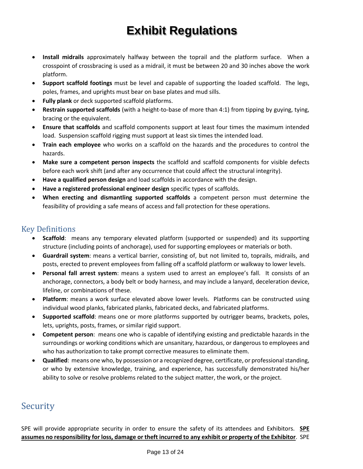- **Install midrails** approximately halfway between the toprail and the platform surface. When a crosspoint of crossbracing is used as a midrail, it must be between 20 and 30 inches above the work platform.
- **Support scaffold footings** must be level and capable of supporting the loaded scaffold. The legs, poles, frames, and uprights must bear on base plates and mud sills.
- **Fully plank** or deck supported scaffold platforms.
- **Restrain supported scaffolds** (with a height-to-base of more than 4:1) from tipping by guying, tying, bracing or the equivalent.
- **Ensure that scaffolds** and scaffold components support at least four times the maximum intended load. Suspension scaffold rigging must support at least six times the intended load.
- **Train each employee** who works on a scaffold on the hazards and the procedures to control the hazards.
- **Make sure a competent person inspects** the scaffold and scaffold components for visible defects before each work shift (and after any occurrence that could affect the structural integrity).
- **Have a qualified person design** and load scaffolds in accordance with the design.
- **Have a registered professional engineer design** specific types of scaffolds.
- **When erecting and dismantling supported scaffolds** a competent person must determine the feasibility of providing a safe means of access and fall protection for these operations.

#### <span id="page-12-0"></span>Key Definitions

- **Scaffold**: means any temporary elevated platform (supported or suspended) and its supporting structure (including points of anchorage), used for supporting employees or materials or both.
- **Guardrail system**: means a vertical barrier, consisting of, but not limited to, toprails, midrails, and posts, erected to prevent employees from falling off a scaffold platform or walkway to lower levels.
- **Personal fall arrest system**: means a system used to arrest an employee's fall. It consists of an anchorage, connectors, a body belt or body harness, and may include a lanyard, deceleration device, lifeline, or combinations of these.
- **Platform**: means a work surface elevated above lower levels. Platforms can be constructed using individual wood planks, fabricated planks, fabricated decks, and fabricated platforms.
- **Supported scaffold**: means one or more platforms supported by outrigger beams, brackets, poles, lets, uprights, posts, frames, or similar rigid support.
- **Competent person**: means one who is capable of identifying existing and predictable hazards in the surroundings or working conditions which are unsanitary, hazardous, or dangerous to employees and who has authorization to take prompt corrective measures to eliminate them.
- **Qualified**: means one who, by possession or a recognized degree, certificate, or professional standing, or who by extensive knowledge, training, and experience, has successfully demonstrated his/her ability to solve or resolve problems related to the subject matter, the work, or the project.

#### <span id="page-12-1"></span>Security

SPE will provide appropriate security in order to ensure the safety of its attendees and Exhibitors. **SPE assumes no responsibility for loss, damage or theft incurred to any exhibit or property of the Exhibitor**. SPE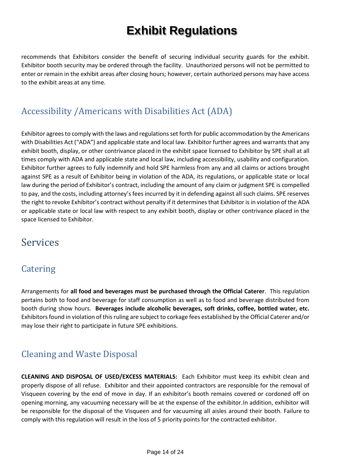recommends that Exhibitors consider the benefit of securing individual security guards for the exhibit. Exhibitor booth security may be ordered through the facility. Unauthorized persons will not be permitted to enter or remain in the exhibit areas after closing hours; however, certain authorized persons may have access to the exhibit areas at any time.

#### <span id="page-13-0"></span>Accessibility /Americans with Disabilities Act (ADA)

Exhibitor agrees to comply with the laws and regulations set forth for public accommodation by the Americans with Disabilities Act ("ADA") and applicable state and local law. Exhibitor further agrees and warrants that any exhibit booth, display, or other contrivance placed in the exhibit space licensed to Exhibitor by SPE shall at all times comply with ADA and applicable state and local law, including accessibility, usability and configuration. Exhibitor further agrees to fully indemnify and hold SPE harmless from any and all claims or actions brought against SPE as a result of Exhibitor being in violation of the ADA, its regulations, or applicable state or local law during the period of Exhibitor's contract, including the amount of any claim or judgment SPE is compelled to pay, and the costs, including attorney's fees incurred by it in defending against all such claims. SPE reserves the right to revoke Exhibitor's contract without penalty if it determines that Exhibitor is in violation of the ADA or applicable state or local law with respect to any exhibit booth, display or other contrivance placed in the space licensed to Exhibitor.

## <span id="page-13-1"></span>Services

#### <span id="page-13-2"></span>**Catering**

Arrangements for **all food and beverages must be purchased through the Official Caterer**. This regulation pertains both to food and beverage for staff consumption as well as to food and beverage distributed from booth during show hours. **Beverages include alcoholic beverages, soft drinks, coffee, bottled water, etc.** Exhibitors found in violation of this ruling are subject to corkage fees established by the Official Caterer and/or may lose their right to participate in future SPE exhibitions.

#### <span id="page-13-3"></span>Cleaning and Waste Disposal

**CLEANING AND DISPOSAL OF USED/EXCESS MATERIALS:** Each Exhibitor must keep its exhibit clean and properly dispose of all refuse. Exhibitor and their appointed contractors are responsible for the removal of Visqueen covering by the end of move in day. If an exhibitor's booth remains covered or cordoned off on opening morning, any vacuuming necessary will be at the expense of the exhibitor.In addition, exhibitor will be responsible for the disposal of the Visqueen and for vacuuming all aisles around their booth. Failure to comply with this regulation will result in the loss of 5 priority points for the contracted exhibitor.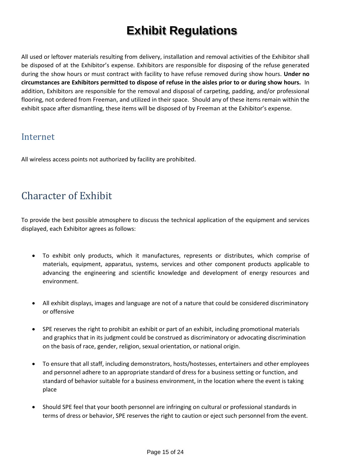All used or leftover materials resulting from delivery, installation and removal activities of the Exhibitor shall be disposed of at the Exhibitor's expense. Exhibitors are responsible for disposing of the refuse generated during the show hours or must contract with facility to have refuse removed during show hours. **Under no circumstances are Exhibitors permitted to dispose of refuse in the aisles prior to or during show hours.** In addition, Exhibitors are responsible for the removal and disposal of carpeting, padding, and/or professional flooring, not ordered from Freeman, and utilized in their space. Should any of these items remain within the exhibit space after dismantling, these items will be disposed of by Freeman at the Exhibitor's expense.

#### <span id="page-14-0"></span>Internet

All wireless access points not authorized by facility are prohibited.

## <span id="page-14-1"></span>Character of Exhibit

To provide the best possible atmosphere to discuss the technical application of the equipment and services displayed, each Exhibitor agrees as follows:

- To exhibit only products, which it manufactures, represents or distributes, which comprise of materials, equipment, apparatus, systems, services and other component products applicable to advancing the engineering and scientific knowledge and development of energy resources and environment.
- All exhibit displays, images and language are not of a nature that could be considered discriminatory or offensive
- SPE reserves the right to prohibit an exhibit or part of an exhibit, including promotional materials and graphics that in its judgment could be construed as discriminatory or advocating discrimination on the basis of race, gender, religion, sexual orientation, or national origin.
- To ensure that all staff, including demonstrators, hosts/hostesses, entertainers and other employees and personnel adhere to an appropriate standard of dress for a business setting or function, and standard of behavior suitable for a business environment, in the location where the event is taking place
- Should SPE feel that your booth personnel are infringing on cultural or professional standards in terms of dress or behavior, SPE reserves the right to caution or eject such personnel from the event.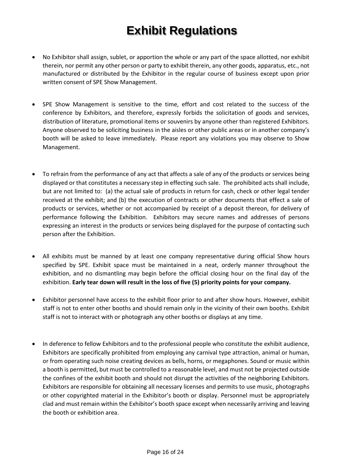- No Exhibitor shall assign, sublet, or apportion the whole or any part of the space allotted, nor exhibit therein, nor permit any other person or party to exhibit therein, any other goods, apparatus, etc., not manufactured or distributed by the Exhibitor in the regular course of business except upon prior written consent of SPE Show Management.
- SPE Show Management is sensitive to the time, effort and cost related to the success of the conference by Exhibitors, and therefore, expressly forbids the solicitation of goods and services, distribution of literature, promotional items or souvenirs by anyone other than registered Exhibitors. Anyone observed to be soliciting business in the aisles or other public areas or in another company's booth will be asked to leave immediately. Please report any violations you may observe to Show Management.
- To refrain from the performance of any act that affects a sale of any of the products or services being displayed or that constitutes a necessary step in effecting such sale. The prohibited acts shall include, but are not limited to: (a) the actual sale of products in return for cash, check or other legal tender received at the exhibit; and (b) the execution of contracts or other documents that effect a sale of products or services, whether or not accompanied by receipt of a deposit thereon, for delivery of performance following the Exhibition. Exhibitors may secure names and addresses of persons expressing an interest in the products or services being displayed for the purpose of contacting such person after the Exhibition.
- All exhibits must be manned by at least one company representative during official Show hours specified by SPE. Exhibit space must be maintained in a neat, orderly manner throughout the exhibition, and no dismantling may begin before the official closing hour on the final day of the exhibition. **Early tear down will result in the loss of five (5) priority points for your company.**
- Exhibitor personnel have access to the exhibit floor prior to and after show hours. However, exhibit staff is not to enter other booths and should remain only in the vicinity of their own booths. Exhibit staff is not to interact with or photograph any other booths or displays at any time.
- In deference to fellow Exhibitors and to the professional people who constitute the exhibit audience, Exhibitors are specifically prohibited from employing any carnival type attraction, animal or human, or from operating such noise creating devices as bells, horns, or megaphones. Sound or music within a booth is permitted, but must be controlled to a reasonable level, and must not be projected outside the confines of the exhibit booth and should not disrupt the activities of the neighboring Exhibitors. Exhibitors are responsible for obtaining all necessary licenses and permits to use music, photographs or other copyrighted material in the Exhibitor's booth or display. Personnel must be appropriately clad and must remain within the Exhibitor's booth space except when necessarily arriving and leaving the booth or exhibition area.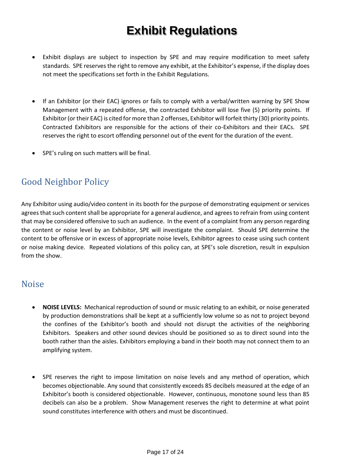- Exhibit displays are subject to inspection by SPE and may require modification to meet safety standards. SPE reserves the right to remove any exhibit, at the Exhibitor's expense, if the display does not meet the specifications set forth in the Exhibit Regulations.
- If an Exhibitor (or their EAC) ignores or fails to comply with a verbal/written warning by SPE Show Management with a repeated offense, the contracted Exhibitor will lose five (5) priority points. If Exhibitor (or their EAC) is cited for more than 2 offenses, Exhibitor will forfeit thirty (30) priority points. Contracted Exhibitors are responsible for the actions of their co-Exhibitors and their EACs. SPE reserves the right to escort offending personnel out of the event for the duration of the event.
- SPE's ruling on such matters will be final.

#### <span id="page-16-0"></span>Good Neighbor Policy

Any Exhibitor using audio/video content in its booth for the purpose of demonstrating equipment or services agrees that such content shall be appropriate for a general audience, and agrees to refrain from using content that may be considered offensive to such an audience. In the event of a complaint from any person regarding the content or noise level by an Exhibitor, SPE will investigate the complaint. Should SPE determine the content to be offensive or in excess of appropriate noise levels, Exhibitor agrees to cease using such content or noise making device. Repeated violations of this policy can, at SPE's sole discretion, result in expulsion from the show.

#### <span id="page-16-1"></span>Noise

- **NOISE LEVELS:** Mechanical reproduction of sound or music relating to an exhibit, or noise generated by production demonstrations shall be kept at a sufficiently low volume so as not to project beyond the confines of the Exhibitor's booth and should not disrupt the activities of the neighboring Exhibitors. Speakers and other sound devices should be positioned so as to direct sound into the booth rather than the aisles. Exhibitors employing a band in their booth may not connect them to an amplifying system.
- SPE reserves the right to impose limitation on noise levels and any method of operation, which becomes objectionable. Any sound that consistently exceeds 85 decibels measured at the edge of an Exhibitor's booth is considered objectionable. However, continuous, monotone sound less than 85 decibels can also be a problem. Show Management reserves the right to determine at what point sound constitutes interference with others and must be discontinued.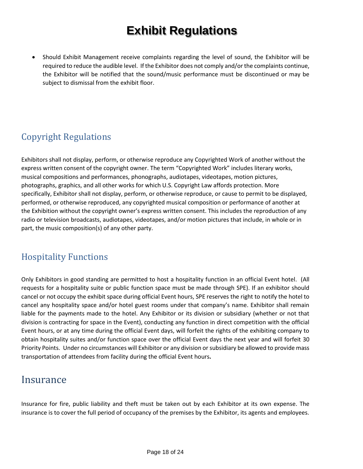• Should Exhibit Management receive complaints regarding the level of sound, the Exhibitor will be required to reduce the audible level. If the Exhibitor does not comply and/or the complaints continue, the Exhibitor will be notified that the sound/music performance must be discontinued or may be subject to dismissal from the exhibit floor.

#### <span id="page-17-0"></span>Copyright Regulations

Exhibitors shall not display, perform, or otherwise reproduce any Copyrighted Work of another without the express written consent of the copyright owner. The term "Copyrighted Work" includes literary works, musical compositions and performances, phonographs, audiotapes, videotapes, motion pictures, photographs, graphics, and all other works for which U.S. Copyright Law affords protection. More specifically, Exhibitor shall not display, perform, or otherwise reproduce, or cause to permit to be displayed, performed, or otherwise reproduced, any copyrighted musical composition or performance of another at the Exhibition without the copyright owner's express written consent. This includes the reproduction of any radio or television broadcasts, audiotapes, videotapes, and/or motion pictures that include, in whole or in part, the music composition(s) of any other party.

#### <span id="page-17-1"></span>Hospitality Functions

Only Exhibitors in good standing are permitted to host a hospitality function in an official Event hotel. (All requests for a hospitality suite or public function space must be made through SPE). If an exhibitor should cancel or not occupy the exhibit space during official Event hours, SPE reserves the right to notify the hotel to cancel any hospitality space and/or hotel guest rooms under that company's name. Exhibitor shall remain liable for the payments made to the hotel. Any Exhibitor or its division or subsidiary (whether or not that division is contracting for space in the Event), conducting any function in direct competition with the official Event hours, or at any time during the official Event days, will forfeit the rights of the exhibiting company to obtain hospitality suites and/or function space over the official Event days the next year and will forfeit 30 Priority Points. Under no circumstances will Exhibitor or any division or subsidiary be allowed to provide mass transportation of attendees from facility during the official Event hours**.**

#### <span id="page-17-2"></span>Insurance

Insurance for fire, public liability and theft must be taken out by each Exhibitor at its own expense. The insurance is to cover the full period of occupancy of the premises by the Exhibitor, its agents and employees.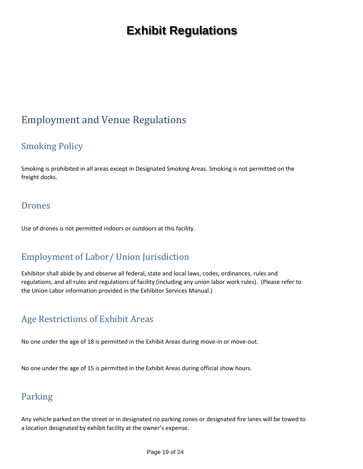## <span id="page-18-0"></span>Employment and Venue Regulations

#### <span id="page-18-1"></span>Smoking Policy

Smoking is prohibited in all areas except in Designated Smoking Areas. Smoking is not permitted on the freight docks.

#### <span id="page-18-2"></span>Drones

Use of drones is not permitted indoors or outdoors at this facility.

#### <span id="page-18-3"></span>Employment of Labor/ Union Jurisdiction

Exhibitor shall abide by and observe all federal, state and local laws, codes, ordinances, rules and regulations, and all rules and regulations of facility (including any union labor work rules). (Please refer to the Union Labor information provided in the Exhibitor Services Manual.)

#### <span id="page-18-4"></span>Age Restrictions of Exhibit Areas

No one under the age of 18 is permitted in the Exhibit Areas during move-in or move-out.

No one under the age of 15 is permitted in the Exhibit Areas during official show hours.

#### <span id="page-18-5"></span>Parking

Any vehicle parked on the street or in designated no parking zones or designated fire lanes will be towed to a location designated by exhibit facility at the owner's expense.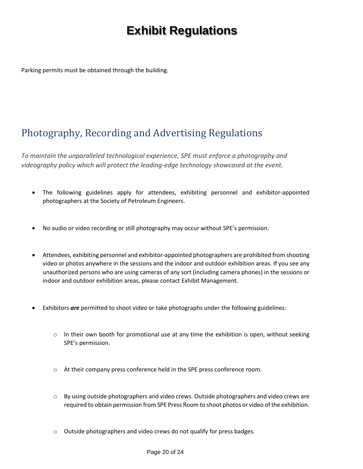Parking permits must be obtained through the building.

## <span id="page-19-0"></span>Photography, Recording and Advertising Regulations

*To maintain the unparalleled technological experience, SPE must enforce a photography and videography policy which will protect the leading-edge technology showcased at the event.*

- The following guidelines apply for attendees, exhibiting personnel and exhibitor-appointed photographers at the Society of Petroleum Engineers.
- No audio or video recording or still photography may occur without SPE's permission.
- Attendees, exhibiting personnel and exhibitor-appointed photographers are prohibited from shooting video or photos anywhere in the sessions and the indoor and outdoor exhibition areas. If you see any unauthorized persons who are using cameras of any sort (including camera phones) in the sessions or indoor and outdoor exhibition areas, please contact Exhibit Management.
- Exhibitors *are* permitted to shoot video or take photographs under the following guidelines:
	- $\circ$  In their own booth for promotional use at any time the exhibition is open, without seeking SPE's permission.
	- o At their company press conference held in the SPE press conference room.
	- o By using outside photographers and video crews. Outside photographers and video crews are required to obtain permission from SPE Press Room to shoot photos or video of the exhibition.
	- o Outside photographers and video crews do not qualify for press badges.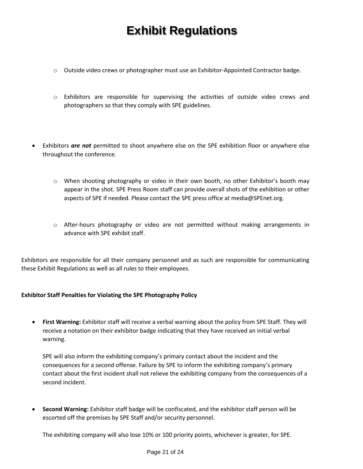- o Outside video crews or photographer must use an Exhibitor-Appointed Contractor badge.
- o Exhibitors are responsible for supervising the activities of outside video crews and photographers so that they comply with SPE guidelines.
- Exhibitors *are not* permitted to shoot anywhere else on the SPE exhibition floor or anywhere else throughout the conference.
	- $\circ$  When shooting photography or video in their own booth, no other Exhibitor's booth may appear in the shot. SPE Press Room staff can provide overall shots of the exhibition or other aspects of SPE if needed. Please contact the SPE press office at media@SPEnet.org.
	- o After-hours photography or video are not permitted without making arrangements in advance with SPE exhibit staff.

Exhibitors are responsible for all their company personnel and as such are responsible for communicating these Exhibit Regulations as well as all rules to their employees.

#### **Exhibitor Staff Penalties for Violating the SPE Photography Policy**

• **First Warning:** Exhibitor staff will receive a verbal warning about the policy from SPE Staff. They will receive a notation on their exhibitor badge indicating that they have received an initial verbal warning.

SPE will also inform the exhibiting company's primary contact about the incident and the consequences for a second offense. Failure by SPE to inform the exhibiting company's primary contact about the first incident shall not relieve the exhibiting company from the consequences of a second incident.

• **Second Warning:** Exhibitor staff badge will be confiscated, and the exhibitor staff person will be escorted off the premises by SPE Staff and/or security personnel.

The exhibiting company will also lose 10% or 100 priority points, whichever is greater, for SPE.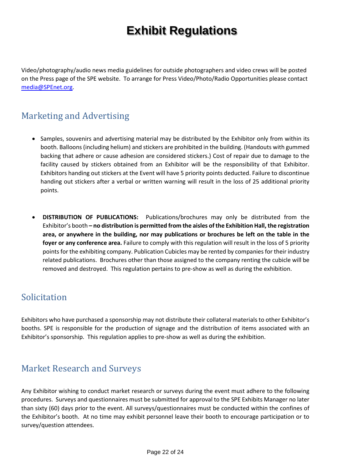Video/photography/audio news media guidelines for outside photographers and video crews will be posted on the Press page of the SPE website. To arrange for Press Video/Photo/Radio Opportunities please contact [media@SPEnet.org.](mailto:media@otcnet.org)

#### <span id="page-21-0"></span>Marketing and Advertising

- Samples, souvenirs and advertising material may be distributed by the Exhibitor only from within its booth. Balloons (including helium) and stickers are prohibited in the building. (Handouts with gummed backing that adhere or cause adhesion are considered stickers.) Cost of repair due to damage to the facility caused by stickers obtained from an Exhibitor will be the responsibility of that Exhibitor. Exhibitors handing out stickers at the Event will have 5 priority points deducted. Failure to discontinue handing out stickers after a verbal or written warning will result in the loss of 25 additional priority points.
- **DISTRIBUTION OF PUBLICATIONS:** Publications/brochures may only be distributed from the Exhibitor's booth **– no distribution is permitted from the aisles of the Exhibition Hall, the registration area, or anywhere in the building, nor may publications or brochures be left on the table in the foyer or any conference area.** Failure to comply with this regulation will result in the loss of 5 priority points for the exhibiting company. Publication Cubicles may be rented by companies for their industry related publications. Brochures other than those assigned to the company renting the cubicle will be removed and destroyed. This regulation pertains to pre-show as well as during the exhibition.

#### <span id="page-21-1"></span>Solicitation

Exhibitors who have purchased a sponsorship may not distribute their collateral materials to other Exhibitor's booths. SPE is responsible for the production of signage and the distribution of items associated with an Exhibitor's sponsorship. This regulation applies to pre-show as well as during the exhibition.

#### <span id="page-21-2"></span>Market Research and Surveys

Any Exhibitor wishing to conduct market research or surveys during the event must adhere to the following procedures. Surveys and questionnaires must be submitted for approval to the SPE Exhibits Manager no later than sixty (60) days prior to the event. All surveys/questionnaires must be conducted within the confines of the Exhibitor's booth. At no time may exhibit personnel leave their booth to encourage participation or to survey/question attendees.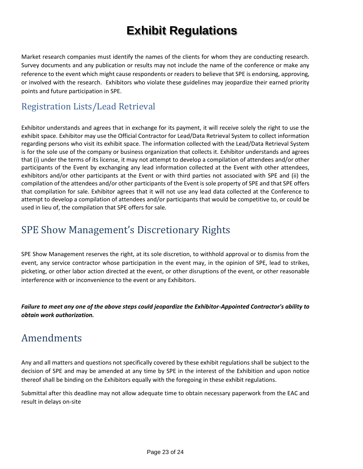Market research companies must identify the names of the clients for whom they are conducting research. Survey documents and any publication or results may not include the name of the conference or make any reference to the event which might cause respondents or readers to believe that SPE is endorsing, approving, or involved with the research. Exhibitors who violate these guidelines may jeopardize their earned priority points and future participation in SPE.

#### <span id="page-22-0"></span>Registration Lists/Lead Retrieval

Exhibitor understands and agrees that in exchange for its payment, it will receive solely the right to use the exhibit space. Exhibitor may use the Official Contractor for Lead/Data Retrieval System to collect information regarding persons who visit its exhibit space. The information collected with the Lead/Data Retrieval System is for the sole use of the company or business organization that collects it. Exhibitor understands and agrees that (i) under the terms of its license, it may not attempt to develop a compilation of attendees and/or other participants of the Event by exchanging any lead information collected at the Event with other attendees, exhibitors and/or other participants at the Event or with third parties not associated with SPE and (ii) the compilation of the attendees and/or other participants of the Event is sole property of SPE and that SPE offers that compilation for sale. Exhibitor agrees that it will not use any lead data collected at the Conference to attempt to develop a compilation of attendees and/or participants that would be competitive to, or could be used in lieu of, the compilation that SPE offers for sale.

## <span id="page-22-1"></span>SPE Show Management's Discretionary Rights

SPE Show Management reserves the right, at its sole discretion, to withhold approval or to dismiss from the event, any service contractor whose participation in the event may, in the opinion of SPE, lead to strikes, picketing, or other labor action directed at the event, or other disruptions of the event, or other reasonable interference with or inconvenience to the event or any Exhibitors.

*Failure to meet any one of the above steps could jeopardize the Exhibitor-Appointed Contractor's ability to obtain work authorization.*

## <span id="page-22-2"></span>Amendments

Any and all matters and questions not specifically covered by these exhibit regulations shall be subject to the decision of SPE and may be amended at any time by SPE in the interest of the Exhibition and upon notice thereof shall be binding on the Exhibitors equally with the foregoing in these exhibit regulations.

Submittal after this deadline may not allow adequate time to obtain necessary paperwork from the EAC and result in delays on-site